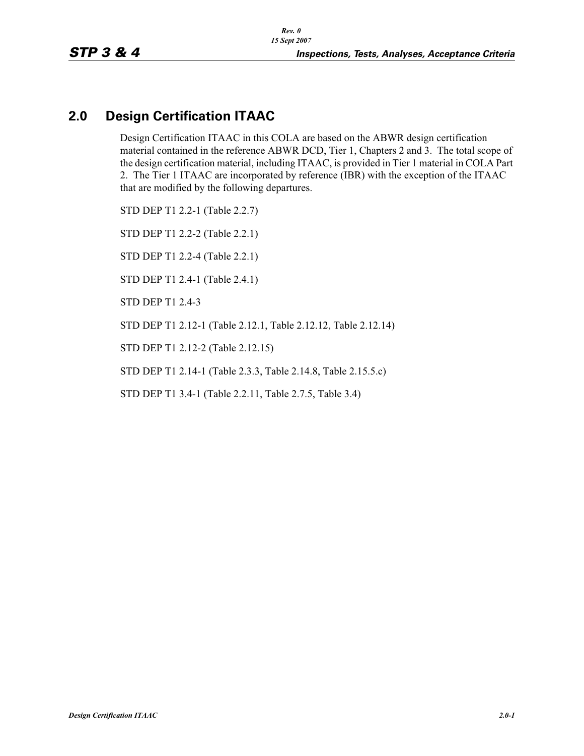# **2.0 Design Certification ITAAC**

Design Certification ITAAC in this COLA are based on the ABWR design certification material contained in the reference ABWR DCD, Tier 1, Chapters 2 and 3. The total scope of the design certification material, including ITAAC, is provided in Tier 1 material in COLA Part 2. The Tier 1 ITAAC are incorporated by reference (IBR) with the exception of the ITAAC that are modified by the following departures.

STD DEP T1 2.2-1 (Table 2.2.7) STD DEP T1 2.2-2 (Table 2.2.1) STD DEP T1 2.2-4 (Table 2.2.1)

STD DEP T1 2.4-1 (Table 2.4.1)

STD DEP T1 2.4-3

STD DEP T1 2.12-1 (Table 2.12.1, Table 2.12.12, Table 2.12.14)

STD DEP T1 2.12-2 (Table 2.12.15)

STD DEP T1 2.14-1 (Table 2.3.3, Table 2.14.8, Table 2.15.5.c)

STD DEP T1 3.4-1 (Table 2.2.11, Table 2.7.5, Table 3.4)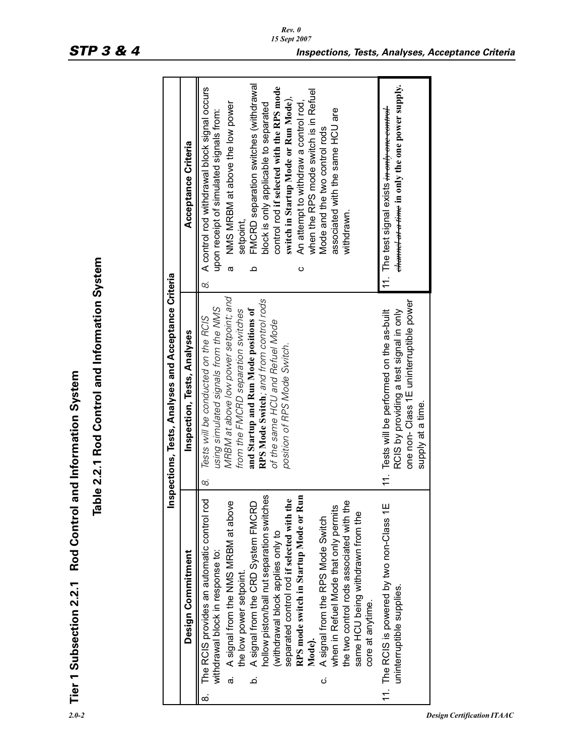| 8<br>Tabl<br>The RCIS provides an automatic control rod<br>hollow piston/ball nut separation switches<br>separated control rod if selected with the<br>RPS mode switch in Startup Mode or Run<br>A signal from the NMS MRBM at above<br>the two control rods associated with the<br>A signal from the CRD System FMCRD<br>when in Refuel Mode that only permits<br>same HCU being withdrawn from the<br>A signal from the RPS Mode Switch<br>(withdrawal block applies only to<br>Design Commitment<br>withdrawal block in response to:<br>the low power setpoint.<br>Tier 1 Subsection 2.2.1<br>core at anytime.<br>Mode). | le 2.2.1 Rod Control and Information System<br>Inspections, Tests, Analyses and Acceptance Criteria<br>MRBM at above low power setpoint; and<br>RPS Mode Switch; and from control rods<br>using simulated signals from the NMS<br>and Startup and Run Mode positions of<br>from the FMCRD separation switches<br>Tests will be conducted on the RCIS<br>of the same HCU and Refuel Mode<br>Inspection, Tests, Analyses<br>position of RPS Mode Switch.<br>Rod Control and Information System | FMCRD separation switches (withdrawal<br>A control rod withdrawal block signal occurs<br>control rod if selected with the RPS mode<br>when the RPS mode switch is in Refuel<br>switch in Startup Mode or Run Mode),<br>An attempt to withdraw a control rod,<br>NMS MRBM at above the low power<br>block is only applicable to separated<br>associated with the same HCU are<br>upon receipt of simulated signals from:<br>Mode and the two control rods<br>Acceptance Criteria<br>withdrawn.<br>setpoint.<br>$\sigma$<br>ပ<br>≏<br>8. |
|-----------------------------------------------------------------------------------------------------------------------------------------------------------------------------------------------------------------------------------------------------------------------------------------------------------------------------------------------------------------------------------------------------------------------------------------------------------------------------------------------------------------------------------------------------------------------------------------------------------------------------|----------------------------------------------------------------------------------------------------------------------------------------------------------------------------------------------------------------------------------------------------------------------------------------------------------------------------------------------------------------------------------------------------------------------------------------------------------------------------------------------|----------------------------------------------------------------------------------------------------------------------------------------------------------------------------------------------------------------------------------------------------------------------------------------------------------------------------------------------------------------------------------------------------------------------------------------------------------------------------------------------------------------------------------------|
| 11. The RCIS is powered by two non-Class 1E<br>uninterruptible supplies.                                                                                                                                                                                                                                                                                                                                                                                                                                                                                                                                                    | one non- Class 1E uninterruptible power<br>RCIS by providing a test signal in only<br>11. Tests will be performed on the as-built<br>supply at a time.                                                                                                                                                                                                                                                                                                                                       | ehannel at a time in only the one power supply.<br>11. The test signal exists <del>in only one control</del>                                                                                                                                                                                                                                                                                                                                                                                                                           |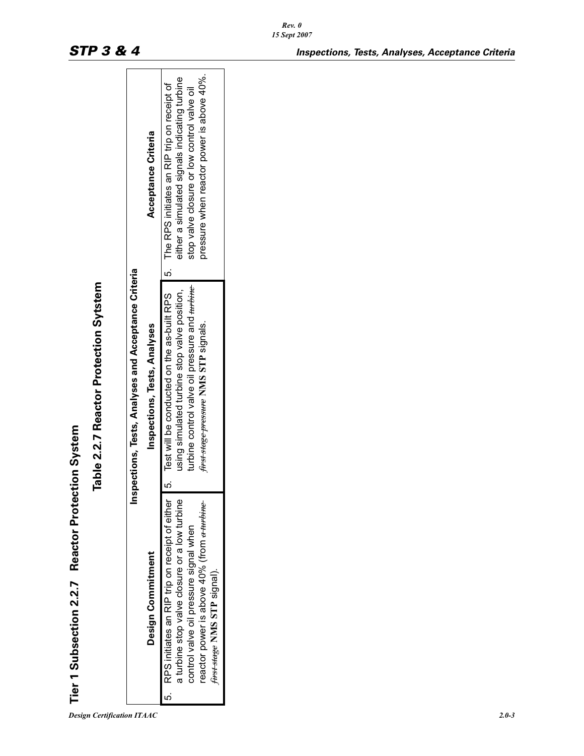|                                                          |                                                      | Acceptance Criteria          | pressure when reactor power is above 40%.<br>either a simulated signals indicating turbine<br>5. The RPS initiates an RIP trip on receipt of<br>stop valve closure or low control valve oil                                           |
|----------------------------------------------------------|------------------------------------------------------|------------------------------|---------------------------------------------------------------------------------------------------------------------------------------------------------------------------------------------------------------------------------------|
| Table 2.2.7 Reactor Protection Sytstem                   | Inspections, Tests, Analyses and Acceptance Criteria | Inspections, Tests, Analyses | 5. Test will be conducted on the as-built RPS<br>turbine control valve oil pressure and turbine<br>using simulated turbine stop valve position,<br>first stage pressure NMS STP signals.                                              |
| <b>Tier 1 Subsection 2.2.7 Reactor Protection System</b> |                                                      | Design Commitment            | 5. RPS initiates an RIP trip on receipt of either<br>a turbine stop valve closure or a low turbine<br>reactor power is above 40% (from <del>a turbine</del><br>control valve oil pressure signal when<br>first stage NMS STP signal). |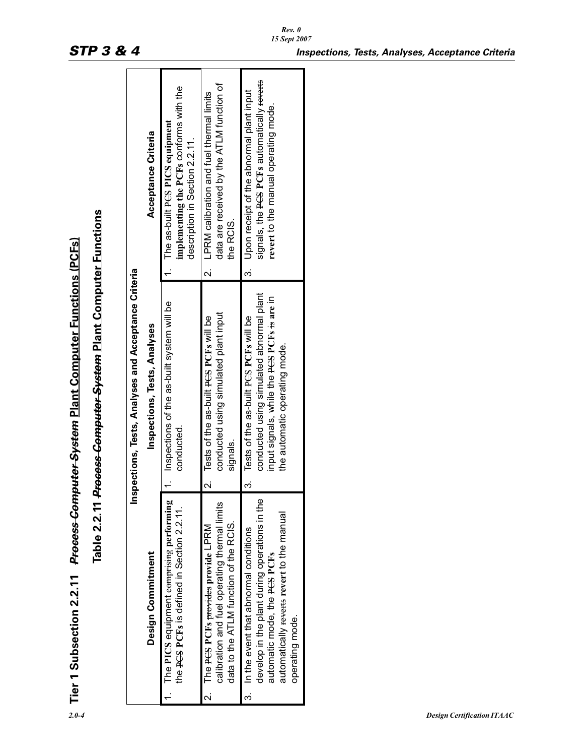| $\overline{\phantom{a}}$ |
|--------------------------|
|                          |
|                          |
|                          |

|                         |                                                                                                                                                                                                    | Tier 1 Subsection 2.2.11 <del>Process Computer System</del> Plant Computer Functions (PCFs)                                                                             |                                                                                                                                    |
|-------------------------|----------------------------------------------------------------------------------------------------------------------------------------------------------------------------------------------------|-------------------------------------------------------------------------------------------------------------------------------------------------------------------------|------------------------------------------------------------------------------------------------------------------------------------|
|                         |                                                                                                                                                                                                    | Table 2.2.11 Process Computer System Plant Computer Functions                                                                                                           |                                                                                                                                    |
|                         |                                                                                                                                                                                                    | Inspections, Tests, Analyses and Acceptance Criteria                                                                                                                    |                                                                                                                                    |
|                         | Design Commitment                                                                                                                                                                                  | Inspections, Tests, Analyses                                                                                                                                            | Acceptance Criteria                                                                                                                |
|                         | The PICS equipment comprising performing<br>the PCS PCFs is defined in Section 2.2.11.                                                                                                             | Inspections of the as-built system will be<br>conducted.                                                                                                                | implementing the PCFs conforms with the<br>The as-built PGS PICS equipment<br>description in Section 2.2.11.                       |
| $\overline{\mathsf{N}}$ | calibration and fuel operating thermal limits<br>data to the ATLM function of the RCIS.<br>The PCS PCFs provide LPRM                                                                               | conducted using simulated plant input<br>2. Tests of the as-built PCS PCFs will be<br>signals.                                                                          | data are received by the ATLM function of<br>LPRM calibration and fuel thermal limits<br>the RCIS<br>$\overline{a}$                |
| .<br>ო                  | develop in the plant during operations in the<br>automatically <del>reverts</del> revert to the manual<br>In the event that abnormal conditions<br>automatic mode, the PCS PCFs<br>operating mode. | conducted using simulated abnormal plant<br>input signals, while the PCS PCFs is are in<br>Tests of the as-built PCS PCFs will be<br>the automatic operating mode.<br>က | signals, the PCS PCFs automatically reverts<br>3. Upon receipt of the abnormal plant input<br>revert to the manual operating mode. |
|                         |                                                                                                                                                                                                    |                                                                                                                                                                         |                                                                                                                                    |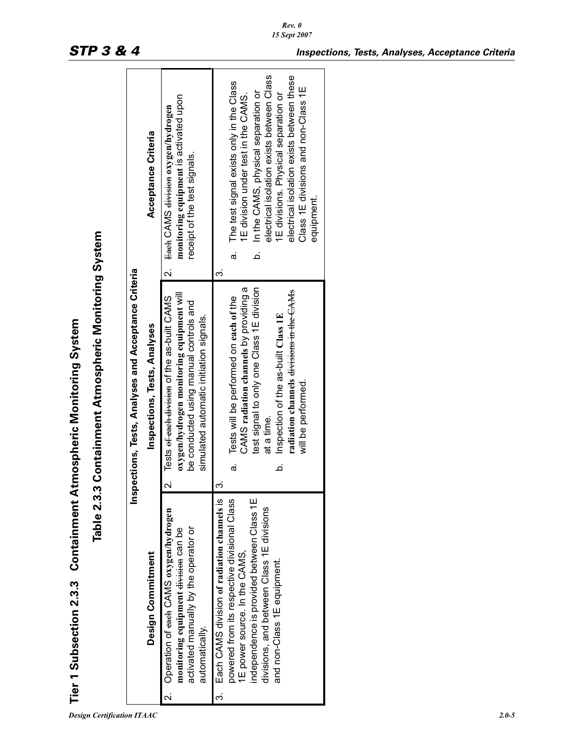| I                  |
|--------------------|
|                    |
| $\frac{1}{2}$      |
|                    |
|                    |
|                    |
|                    |
|                    |
|                    |
| ;<br>;             |
|                    |
| l                  |
|                    |
|                    |
|                    |
|                    |
|                    |
|                    |
|                    |
| ິ<br>ເ<br>$\vdots$ |
|                    |
|                    |
|                    |
|                    |
|                    |
|                    |
| $\frac{1}{2}$      |
|                    |
| ľ                  |

|                                                                                        |                                                      | Acceptance Criteria          | monitoring equipment is activated upon<br>2. Each CAMS division oxygen/hydrogen<br>receipt of the test signals.                                                                             | electrical isolation exists between Class<br>electrical isolation exists between these<br>The test signal exists only in the Class<br>Class 1E divisions and non-Class 1E<br>In the CAMS, physical separation or<br>1E divisions. Physical separation or<br>1E division under test in the CAMS.<br>equipment.<br>.<br>ف<br>σà<br>က |
|----------------------------------------------------------------------------------------|------------------------------------------------------|------------------------------|---------------------------------------------------------------------------------------------------------------------------------------------------------------------------------------------|------------------------------------------------------------------------------------------------------------------------------------------------------------------------------------------------------------------------------------------------------------------------------------------------------------------------------------|
| Table 2.3.3 Containment Atmospheric Monitoring System<br>Atmospheric Monitoring System | Inspections, Tests, Analyses and Acceptance Criteria | Inspections, Tests, Analyses | oxygen/hydrogen monitoring equipment will<br>2. Tests <del>of each division</del> of the as-built CAMS<br>be conducted using manual controls and<br>simulated automatic initiation signals. | CAMS radiation channels by providing a<br>test signal to only one Class 1E division<br>radiation channels <del>divisions in the CAMs</del><br>Tests will be performed on each of the<br>Inspection of the as-built Class 1E<br>will be performed.<br>at a time.<br>$\vec{a}$<br>خ<br>က                                             |
| Tier 1 Subsection 2.3.3 Containment                                                    |                                                      | Design Commitment            | 2. Operation of each CAMS oxygen/hydrogen<br>activated manually by the operator or<br>monitoring equipment <del>division</del> can be<br>automatically.                                     | Each CAMS division of radiation channels is<br>independence is provided between Class 1E<br>powered from its respective divisional Class<br>divisions, and between Class 1E divisions<br>1E power source. In the CAMS,<br>and non-Class 1E equipment.<br>.<br>ო                                                                    |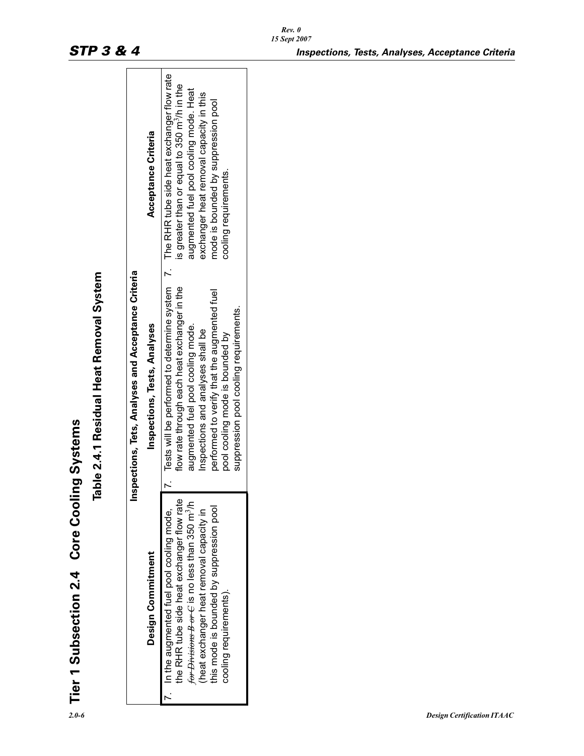|                                                     | Acceptance Criteria          | is greater than or equal to 350 m <sup>3</sup> /h in the<br>augmented fuel pool cooling mode. Heat<br>exchanger heat removal capacity in this<br>mode is bounded by suppression pool<br>cooling requirements.                                                                                                                                      |
|-----------------------------------------------------|------------------------------|----------------------------------------------------------------------------------------------------------------------------------------------------------------------------------------------------------------------------------------------------------------------------------------------------------------------------------------------------|
| Inspections, Tets, Analyses and Acceptance Criteria | Inspections, Tests, Analyses | 7. Tests will be performed to determine system 7. The RHR tube side heat exchanger flow rate<br>flow rate through each heat exchanger in the<br>performed to verify that the augmented fuel<br>suppression pool cooling requirements.<br>augmented fuel pool cooling mode.<br>Inspections and analyses shall be<br>pool cooling mode is bounded by |
| Table 2.4.1 Residual Heat Removal System            | Design Commitment            | the RHR tube side heat exchanger flow rate<br>for Divisions B or C is no less than 350 m <sup>3</sup> /h<br>this mode is bounded by suppression pool<br>(heat exchanger heat removal capacity in<br>7. In the augmented fuel pool cooling mode,<br>cooling requirements).                                                                          |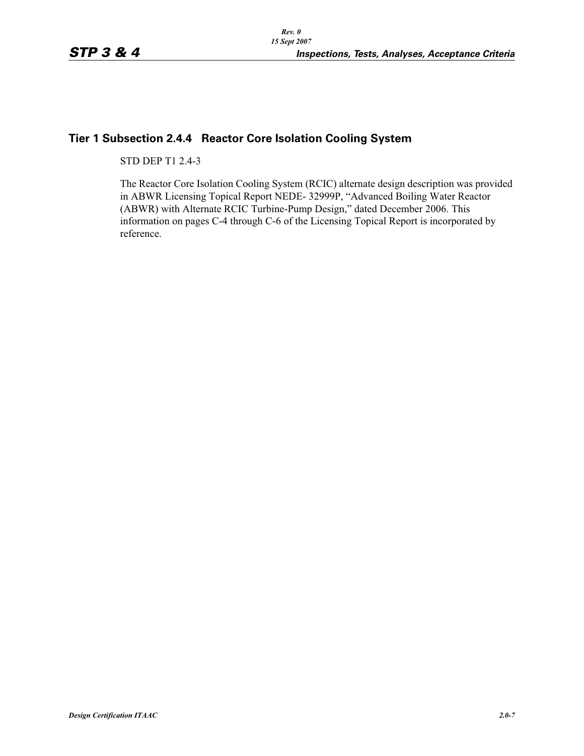## **Tier 1 Subsection 2.4.4 Reactor Core Isolation Cooling System**

STD DEP T1 2.4-3

The Reactor Core Isolation Cooling System (RCIC) alternate design description was provided in ABWR Licensing Topical Report NEDE- 32999P, "Advanced Boiling Water Reactor (ABWR) with Alternate RCIC Turbine-Pump Design," dated December 2006. This information on pages C-4 through C-6 of the Licensing Topical Report is incorporated by reference.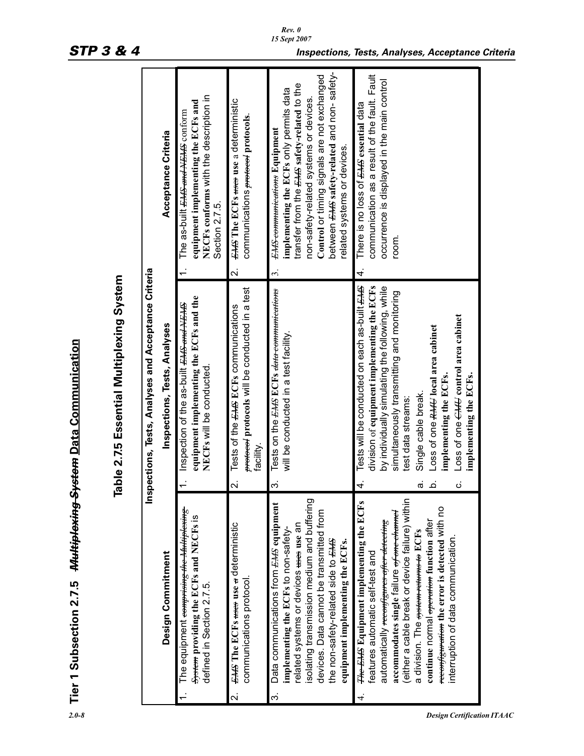|                          | Tier 1 Subsection 2.7.5 Multiplexing System Data Communication                                                                                                                                                                                                                                                                                                                                                                                       |                                     | Table 2.7.5 Essential Multiplexing System                                                                                                                                                                                                                                                                                                                                                               |                         |                                                                                                                                                                                                                                                                                             |
|--------------------------|------------------------------------------------------------------------------------------------------------------------------------------------------------------------------------------------------------------------------------------------------------------------------------------------------------------------------------------------------------------------------------------------------------------------------------------------------|-------------------------------------|---------------------------------------------------------------------------------------------------------------------------------------------------------------------------------------------------------------------------------------------------------------------------------------------------------------------------------------------------------------------------------------------------------|-------------------------|---------------------------------------------------------------------------------------------------------------------------------------------------------------------------------------------------------------------------------------------------------------------------------------------|
|                          |                                                                                                                                                                                                                                                                                                                                                                                                                                                      |                                     | Inspections, Tests, Analyses and Acceptance Criteria                                                                                                                                                                                                                                                                                                                                                    |                         |                                                                                                                                                                                                                                                                                             |
|                          | Design Commitment                                                                                                                                                                                                                                                                                                                                                                                                                                    |                                     | Inspections, Tests, Analyses                                                                                                                                                                                                                                                                                                                                                                            |                         | Acceptance Criteria                                                                                                                                                                                                                                                                         |
|                          | The equipment <del>comprising the Multiplexing</del><br>System providing the ECFs and NECFs is<br>defined in Section 2.7.5.                                                                                                                                                                                                                                                                                                                          |                                     | equipment implementing the ECFs and the<br>Inspection of the as-built <del>EMS and NEMS</del><br>NECFs will be conducted                                                                                                                                                                                                                                                                                |                         | NECFs conforms with the description in<br>equipment implementing the ECFs and<br>The as-built <del><i>EMS and NEMS</i></del> conform<br>Section 2.7.5.                                                                                                                                      |
| $\overline{\mathcal{N}}$ | <b>EMS The ECFs mees use a deterministic</b><br>communications protocol.                                                                                                                                                                                                                                                                                                                                                                             | $\overline{\mathsf{N}}$             | protocols will be conducted in a test<br>Tests of the <b>EMS ECTs</b> communications<br>facility.                                                                                                                                                                                                                                                                                                       | $\overline{\mathbf{v}}$ | <b>EMS</b> The ECFs meet use a deterministic<br>communications <del>protocol</del> protocols.                                                                                                                                                                                               |
| က                        | isolating transmission medium and buffering<br>Data communications from <b>EMS</b> equipment<br>devices. Data cannot be transmitted from<br>related systems or devices uses use an<br>implementing the ECFs to non-safety-<br>the non-safety-related side to EHS<br>equipment implementing the ECFs.                                                                                                                                                 | က                                   | Tests on the EMS ECFs data communications<br>will be conducted in a test facility.                                                                                                                                                                                                                                                                                                                      | 3.                      | between EHS safety-related and non-safety-<br>Control or timing signals are not exchanged<br>transfer from the EHS safety-related to the<br>implementing the ECFs only permits data<br>non-safety-related systems or devices<br>EMS communications Equipment<br>related systems or devices. |
| 4.                       | (either a cable break or device failure) within<br><del>The EMS</del> Equipment implementing the ECFs<br>reconfiguration the error is detected with no<br>accommodates single failure <del>of one channel</del><br>continue normal <del>operation</del> function after<br>automatically <del>reconfigures after detecting</del><br>a division. The system returns to ECFs<br>interruption of data communication.<br>features automatic self-test and | 4.<br>ن<br>$\dot{\sigma}$<br>.<br>ف | Tests will be conducted on each as-built EMS<br>division of equipment implementing the ECFs<br>by individually simulating the following, while<br>simultaneously transmitting and monitoring<br>Loss of one $\epsilon$ <sub><i>HH</i></sub> control area cabinet<br>Loss of one RHU local area cabinet<br>implementing the ECFs.<br>implementing the ECFs.<br>Single cable break.<br>test data streams: | 4.                      | communication as a result of the fault. Fault<br>occurrence is displayed in the main control<br>There is no loss of <del>EMS</del> essential data<br>room.                                                                                                                                  |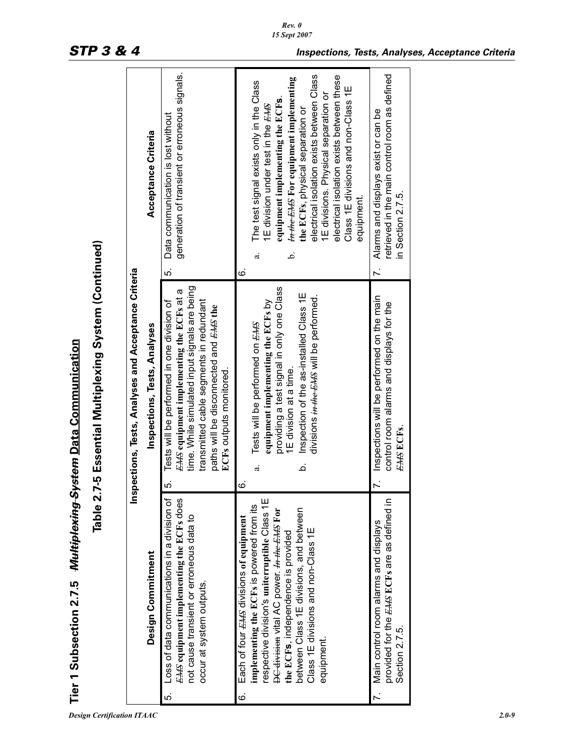|     | Tier 1 Subsection 2.7.5 <del>Multiplexing System</del> <u>Data Communication</u>                                                                                                                                                                                                                                          | Table 2.7-5 Essential Multiplexing System (Continued)                                                                                                                                                                                                         |                                                                                                                                                                                                                                                                                                                                                                                                       |
|-----|---------------------------------------------------------------------------------------------------------------------------------------------------------------------------------------------------------------------------------------------------------------------------------------------------------------------------|---------------------------------------------------------------------------------------------------------------------------------------------------------------------------------------------------------------------------------------------------------------|-------------------------------------------------------------------------------------------------------------------------------------------------------------------------------------------------------------------------------------------------------------------------------------------------------------------------------------------------------------------------------------------------------|
|     | lins                                                                                                                                                                                                                                                                                                                      | pections, Tests, Analyses and Acceptance Criteria                                                                                                                                                                                                             |                                                                                                                                                                                                                                                                                                                                                                                                       |
|     | Design Commitment                                                                                                                                                                                                                                                                                                         | Inspections, Tests, Analyses                                                                                                                                                                                                                                  | Acceptance Criteria                                                                                                                                                                                                                                                                                                                                                                                   |
| ເດ່ | Loss of data communications in a division of<br><b>EMS</b> equipment implementing the ECFs does<br>not cause transient or erroneous data to<br>occur at system outputs.                                                                                                                                                   | time. While simulated input signals are being<br>EMS equipment implementing the ECFs at a<br>transmitted cable segments in redundant<br>Tests will be performed in one division of<br>paths will be disconnected and EHS the<br>ECFs outputs monitored.<br>ιó | generation of transient or erroneous signals.<br>Data communication is lost without<br>ιó.                                                                                                                                                                                                                                                                                                            |
| ဖ   | respective division's uniterruptible Class 1E<br>implementing the ECFs is powered from its<br>between Class 1E divisions, and between<br>DC division vital AC power. In the EMS For<br>Each of four EAS divisions of equipment<br>Class 1E divisions and non-Class 1E<br>the ECFs, independence is provided<br>equipment. | providing a test signal in only one Class<br>Inspection of the as-installed Class 1E<br>divisions in the EMS will be performed.<br>equipment implementing the ECFs by<br>Tests will be performed on EAS<br>1E division at a time.<br>خ<br>a.<br>ဖ             | electrical isolation exists between Class<br>electrical isolation exists between these<br>In the EMS For equipment implementing<br>The test signal exists only in the Class<br>Class 1E divisions and non-Class 1E<br>1E divisions. Physical separation or<br>equipment implementing the ECFs<br>1E division under test in the EAS<br>the ECFs, physical separation or<br>equipment.<br>نم.<br>ದ<br>ဖ |
|     | provided for the EMS ECFs are as defined in<br>7. Main control room alarms and displays<br>Section 2.7.5.                                                                                                                                                                                                                 | 7. Inspections will be performed on the main<br>control room alarms and displays for the<br>EAS ECFs.                                                                                                                                                         | retrieved in the main control room as defined<br>Alarms and displays exist or can be<br>in Section 2.7.5.<br>$\ddot{ }$                                                                                                                                                                                                                                                                               |
|     |                                                                                                                                                                                                                                                                                                                           |                                                                                                                                                                                                                                                               |                                                                                                                                                                                                                                                                                                                                                                                                       |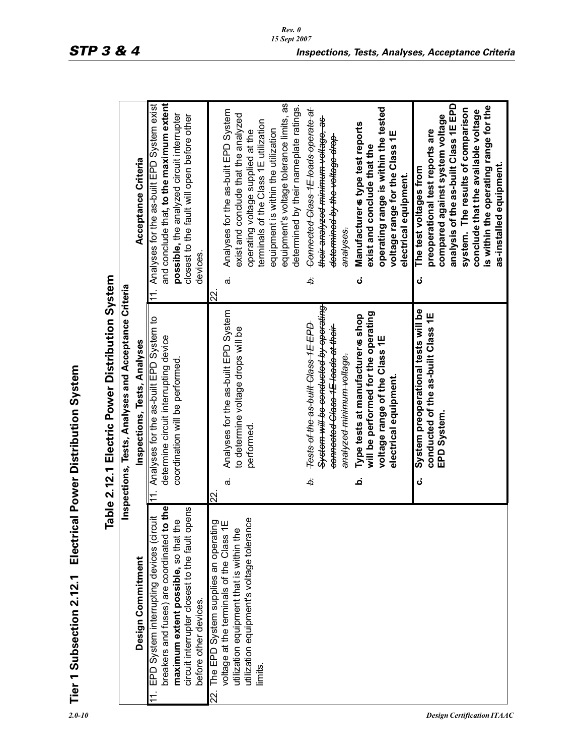| Tier 1 Subsection 2.12.1                                                                                                                                                                                                   | Electrical Power Distribution System                                                                                                                                      |                                                                                                                                                                                                                                                                                                                  |
|----------------------------------------------------------------------------------------------------------------------------------------------------------------------------------------------------------------------------|---------------------------------------------------------------------------------------------------------------------------------------------------------------------------|------------------------------------------------------------------------------------------------------------------------------------------------------------------------------------------------------------------------------------------------------------------------------------------------------------------|
|                                                                                                                                                                                                                            | able 2.12.1 Electric Power Distribution System<br>Inspections, Tests, Analyses and Acceptance Criteria                                                                    |                                                                                                                                                                                                                                                                                                                  |
| Design Commitment                                                                                                                                                                                                          | Inspections, Tests, Analyses                                                                                                                                              | Acceptance Criteria                                                                                                                                                                                                                                                                                              |
| breakers and fuses) are coordinated to the<br>circuit interrupter closest to the fault opens<br>EPD System interrupting devices (circuit<br>maximum extent possible, so that the<br>before other devices.<br>$\frac{1}{2}$ | 11. Analyses for the as-built EPD System to<br>determine circuit interrupting device<br>coordination will be performed                                                    | and conclude that, to the maximum extent<br>11. Analyses for the as-built EPD System exist<br>possible, the analyzed circuit interrupter<br>closest to the fault will open before other<br>devices.                                                                                                              |
| utilization equipment's voltage tolerance<br>22. The EPD System supplies an operating<br>voltage at the terminals of the Class 1E<br>utilization equipment that is within the<br>limits.                                   | Analyses for the as-built EPD System<br>to determine voltage drops will be<br>performed.<br>$\dot{\varpi}$<br>22.                                                         | equipment's voltage tolerance limits, as<br>determined by their nameplate ratings.<br>Analyses for the as-built EPD System<br>exist and conclude that the analyzed<br>terminals of the Class 1E utilization<br>equipment is within the utilization<br>operating voltage supplied at the<br>$\dot{\sigma}$<br>22. |
|                                                                                                                                                                                                                            | <del>System will be conducted by operating</del><br>Tests of the as built Class 1E EPD<br>connected Class 1E leads at their<br><del>analyzed minimum voltage.</del><br>ò. | Connected Class 1E leads operate at<br>န<br><del>their analyzed minimum voltage,</del><br>determined by the voltage drop<br>analyses.<br>خ                                                                                                                                                                       |
|                                                                                                                                                                                                                            | will be performed for the operating<br>Type tests at manufacturer & shop<br>voltage range of the Class 1E<br>electrical equipment<br>غ                                    | operating range is within the tested<br>Manufacturer & type test reports<br>voltage range for the Class 1E<br>exist and conclude that the<br>electrical equipment.<br>ن                                                                                                                                          |
|                                                                                                                                                                                                                            | System preoperational tests will be<br>conducted of the as-built Class 1E<br>EPD System.<br>ن                                                                             | analysis of the as-built Class 1E EPD<br>is within the operating range for the<br>system. The results of comparison<br>conclude that the available voltage<br>compared against system voltage<br>preoperational test reports are<br>as-installed equipment.<br>The test voltages from<br>ن                       |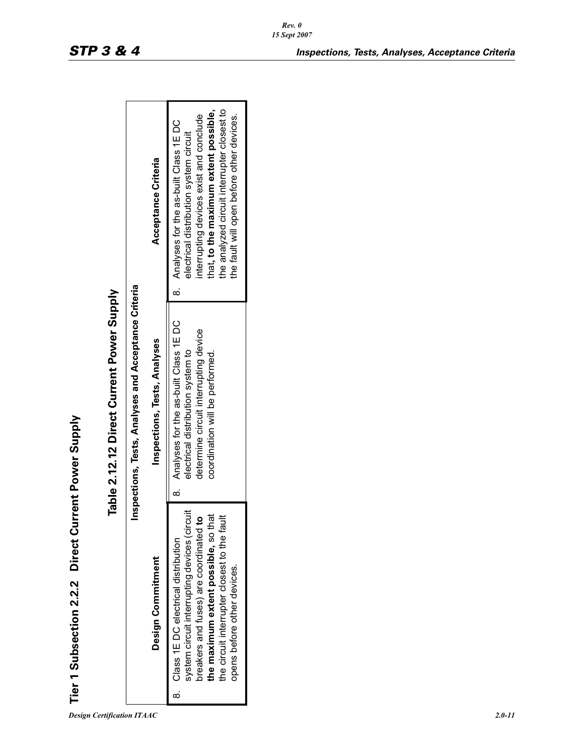| ミミミ<br>$\ddot{\phantom{a}}$ |
|-----------------------------|
| c<br>C<br> <br> <br>        |
|                             |
| $\bar{\mathbf{e}}$<br>i     |

| 1                                                                                           |
|---------------------------------------------------------------------------------------------|
|                                                                                             |
|                                                                                             |
| j                                                                                           |
| í                                                                                           |
|                                                                                             |
| j                                                                                           |
|                                                                                             |
|                                                                                             |
|                                                                                             |
|                                                                                             |
|                                                                                             |
|                                                                                             |
|                                                                                             |
|                                                                                             |
|                                                                                             |
|                                                                                             |
|                                                                                             |
|                                                                                             |
|                                                                                             |
|                                                                                             |
|                                                                                             |
|                                                                                             |
| ֧֧֦֧ׅ֧֧ׅ֧֧֪ׅ֦֧֧֪ׅ֧ׅ֧֪֪֪֪֪֪֪֪֪֪֪֪֪֪֪֪֪֪֪֪֪֪֪֪֪֪֪֪֪֪֚֚֚֚֚֚֚֚֚֚֚֚֚֚֚֚֚֚֚֚֚֚֚֚֚֬֡֡֡֬֓֝֓֜֓֓֜֓֓֓֜ |
|                                                                                             |
|                                                                                             |
|                                                                                             |
| $\overline{\phantom{a}}$                                                                    |
| ί                                                                                           |
|                                                                                             |
|                                                                                             |
| i<br>1                                                                                      |
| ו<br>ו                                                                                      |
| ć                                                                                           |
|                                                                                             |
|                                                                                             |
|                                                                                             |

|                                                                                                   | Acceptance Criteria          | the analyzed circuit interrupter closest to<br>that, to the maximum extent possible,<br>interrupting devices exist and conclude<br>the fault will open before other devices.<br>8. Analyses for the as-built Class 1E DC<br>electrical distribution system circuit |
|---------------------------------------------------------------------------------------------------|------------------------------|--------------------------------------------------------------------------------------------------------------------------------------------------------------------------------------------------------------------------------------------------------------------|
| Inspections, Tests, Analyses and Acceptance Criteria<br>Table 2.12.12 Direct Current Power Supply | Inspections, Tests, Analyses | 8. Analyses for the as-built Class 1E DC<br>determine circuit interrupting device<br>electrical distribution system to<br>coordination will be performed.                                                                                                          |
| Tier 1 Subsection 2.2.2 Direct Current Power Supply                                               | Design Commitment            | system circuit interrupting devices (circuit<br>the maximum extent possible, so that<br>breakers and fuses) are coordinated to<br>the circuit interrupter closest to the fau<br>8. Class 1E DC electrical distribution<br>opens before other devices.              |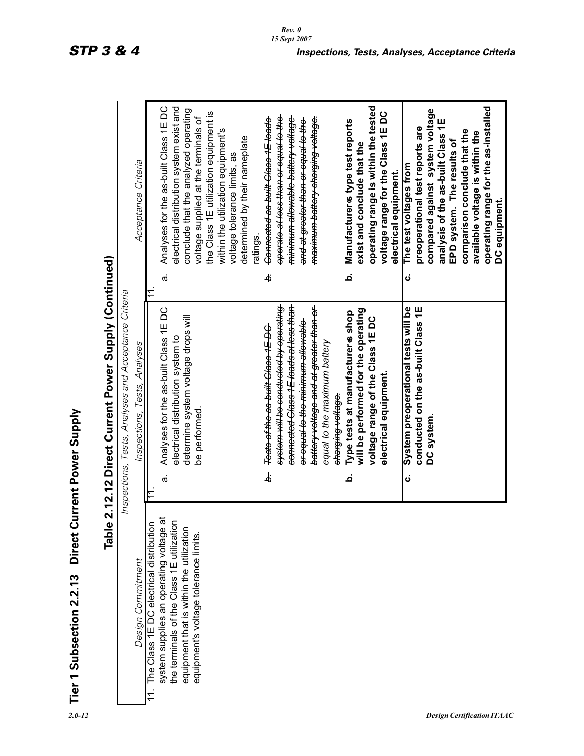| í                    |
|----------------------|
| ś                    |
|                      |
|                      |
|                      |
|                      |
|                      |
|                      |
|                      |
|                      |
| $\ddot{\phantom{a}}$ |
|                      |
|                      |
| ֧֧֧֚֚֚֚֚֚֚֟֓׆֧֛֧֚    |
|                      |
|                      |
|                      |
|                      |
|                      |
|                      |
|                      |
|                      |
|                      |
|                      |
|                      |
|                      |
|                      |
|                      |
|                      |
| ノコンロニュ               |
|                      |
|                      |
| $\ddot{a}$           |
| ľ,                   |
|                      |
|                      |
|                      |
|                      |
|                      |
|                      |
| . 7717               |
|                      |
|                      |
|                      |
|                      |
|                      |
|                      |
|                      |
|                      |
|                      |
|                      |
|                      |
| Ī                    |
|                      |
|                      |
| ï.                   |
|                      |
|                      |
|                      |
|                      |
|                      |
| $\frac{p}{p}$        |

| <b>Direct Co</b><br><b>Table</b><br>Tier 1 Subsection 2.2.13                         | 2.12.12 Direct Current Power Supply (Continued)<br>urrent Power Supply                      |                                                                                                    |
|--------------------------------------------------------------------------------------|---------------------------------------------------------------------------------------------|----------------------------------------------------------------------------------------------------|
|                                                                                      | Inspections, Tests, Analyses and Acceptance Criteria                                        |                                                                                                    |
| Design Commitment                                                                    | Inspections, Tests, Analyses                                                                | Acceptance Criteria                                                                                |
| The Class 1E DC electrical distribution<br>$\pm$                                     |                                                                                             |                                                                                                    |
| system supplies an operating voltage at<br>the terminals of the Class 1E utilization | Analyses for the as-built Class 1EDC<br>electrical distribution system to<br>$\dot{\sigma}$ | electrical distribution system exist and<br>Analyses for the as-built Class 1EDC<br>$\dot{\sigma}$ |
| equipment that is within the utilization                                             | determine system voltage drops will                                                         | conclude that the analyzed operating                                                               |
| equipment's voltage tolerance limits.                                                | be performed                                                                                | voltage supplied at the terminals of                                                               |
|                                                                                      |                                                                                             | the Class 1E utilization equipment is<br>within the utilization equipment's                        |
|                                                                                      |                                                                                             | voltage tolerance limits, as                                                                       |
|                                                                                      |                                                                                             | determined by their nameplate                                                                      |
|                                                                                      | Tests of the as built Class 1E DC<br>نه<br>خا                                               | Connected as built Class 1E loads<br>ratings.<br>ą.                                                |
|                                                                                      | <del>system will be conducted by operating</del>                                            | <del>operate at less than or equal to the</del>                                                    |
|                                                                                      | connected Class 1E loads at less than                                                       | <del>minimum allowable battery voltage</del>                                                       |
|                                                                                      | <del>or equal to the minimum allowable</del>                                                | and at greater than or equal to the                                                                |
|                                                                                      | battery voltage and at greater than or                                                      | maximum battery charging voltage.                                                                  |
|                                                                                      | <del>equal to the maximum battery</del>                                                     |                                                                                                    |
|                                                                                      | charging voltage.                                                                           |                                                                                                    |
|                                                                                      | Type tests at manufacturer & shop<br>م                                                      | Manufacturer & type test reports<br>نم                                                             |
|                                                                                      | will be performed for the operating                                                         | exist and conclude that the                                                                        |
|                                                                                      | voltage range of the Class 1EDC                                                             | operating range is within the tested                                                               |
|                                                                                      | electrical equipment                                                                        | voltage range for the Class 1E DC                                                                  |
|                                                                                      |                                                                                             | electrical equipment.                                                                              |
|                                                                                      | System preoperational tests will be<br>ن                                                    | The test voltages from<br>ن<br>ن                                                                   |
|                                                                                      | conducted on the as-built Class 1E                                                          | preoperational test reports are                                                                    |
|                                                                                      | DC system                                                                                   | compared against system voltage                                                                    |
|                                                                                      |                                                                                             | analysis of the as-built Class 1E                                                                  |
|                                                                                      |                                                                                             | EPD system. The results of                                                                         |
|                                                                                      |                                                                                             | comparison conclude that the                                                                       |
|                                                                                      |                                                                                             | available voltage is within the                                                                    |
|                                                                                      |                                                                                             | operating range for the as-installed                                                               |
|                                                                                      |                                                                                             | DC equipment.                                                                                      |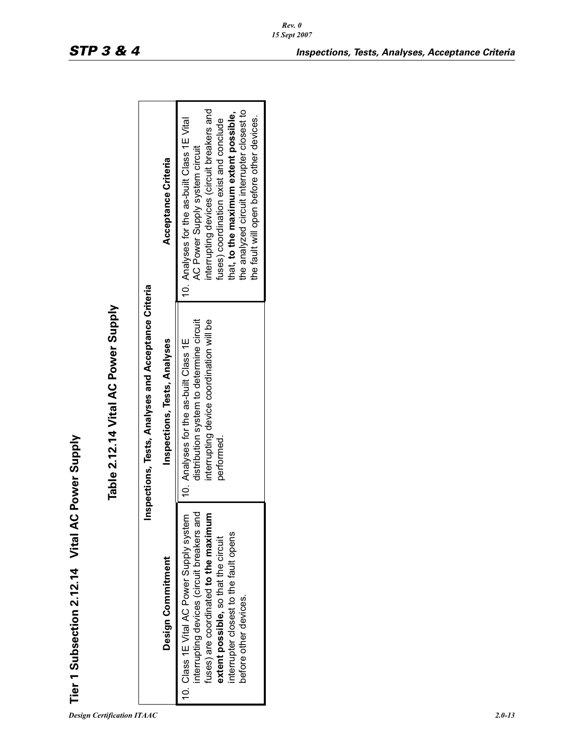| í                         |
|---------------------------|
|                           |
|                           |
|                           |
|                           |
|                           |
|                           |
| Ĺ                         |
|                           |
|                           |
|                           |
|                           |
|                           |
|                           |
|                           |
|                           |
| l                         |
| ֧֖֚֚֚֚֚֚֝<br>֧֚֝<br>֧֚֚֚֝ |
| ŗ                         |
|                           |
|                           |
|                           |
| ľ                         |
| י                         |
| ֠                         |
|                           |
| ຸ                         |
|                           |
| ţ                         |
|                           |
|                           |
|                           |
|                           |
| ļ                         |
|                           |
|                           |
|                           |
|                           |
|                           |
|                           |
|                           |
|                           |
|                           |
|                           |
|                           |
|                           |
| i                         |

|                                                 |                                                      | Acceptance Criteria          | interrupting devices (circuit breakers and<br>the analyzed circuit interrupter closest to<br>that, to the maximum extent possible,<br>the fault will open before other devices.<br>10. Analyses for the as-built Class 1E Vital<br>fuses) coordination exist and conclude<br>AC Power Supply system circuit |
|-------------------------------------------------|------------------------------------------------------|------------------------------|-------------------------------------------------------------------------------------------------------------------------------------------------------------------------------------------------------------------------------------------------------------------------------------------------------------|
| Table 2.12.14 Vital AC Power Supply             | Inspections, Tests, Analyses and Acceptance Criteria | Inspections, Tests, Analyses | distribution system to determine circuit<br>interrupting device coordination will be<br>10. Analyses for the as-built Class 1E<br>performed.                                                                                                                                                                |
| Tier 1 Subsection 2.12.14 Vital AC Power Supply |                                                      | Design Commitment            | interrupting devices (circuit breakers and<br>٤<br>10. Class 1E Vital AC Power Supply system<br>fuses) are coordinated to the maximu<br>interrupter closest to the fault opens<br>extent possible, so that the circuit<br>before other devices.                                                             |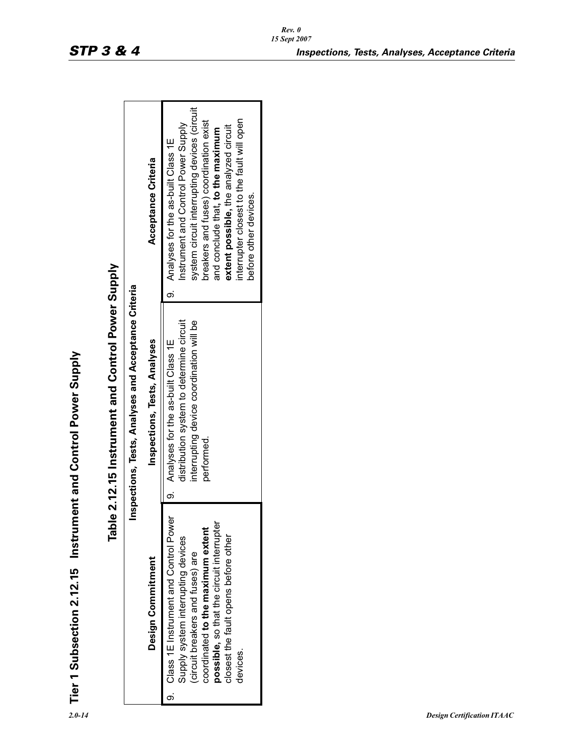| $\overline{ }$<br>ſ                                                   |
|-----------------------------------------------------------------------|
|                                                                       |
| $\frac{1}{2}$                                                         |
| į                                                                     |
| )<br>1                                                                |
|                                                                       |
|                                                                       |
| てくちょう うらく                                                             |
|                                                                       |
|                                                                       |
|                                                                       |
|                                                                       |
|                                                                       |
| こうれい<br>د∟ ا د∠                                                       |
|                                                                       |
|                                                                       |
|                                                                       |
|                                                                       |
|                                                                       |
| ֧֖֚֚֚֚֚֚֚֚֚֝֝֝֝֝֝֝֝֟֬֝<br>֧֧֧֧֧֢ׅ֧֧֧֚֚֚֚֚֚֚֚֚֚֚֚֚֚֚֚֚֚֚֚֚֚֚֚֚֚֝֝֝֬֘֝֬ |
|                                                                       |
|                                                                       |
| j                                                                     |
|                                                                       |
| י<br>יו<br>$\frac{1}{2}$                                              |

| ı<br>l                                                                                       |
|----------------------------------------------------------------------------------------------|
|                                                                                              |
| ֧֧֧֧֧֧֧֧֦֧֧֦֧֧֦֧֚֚֚֚֚֚֚֚֚֚֚֚֚֚֚֚֚֚֚֚֚֚֚֚֚֚֚֚֚֬֝֓֕֟֓֓֓֓֓֓֓֓֡                                  |
| ;                                                                                            |
|                                                                                              |
|                                                                                              |
|                                                                                              |
|                                                                                              |
|                                                                                              |
|                                                                                              |
|                                                                                              |
|                                                                                              |
| ֖֖֧ׅ֧ׅ֧ׅ֧ׅ֧֧ׅ֧֧ׅ֧֧֧֧֪ׅ֧֪֪֪֪֪֪֪֪֪֪֪֪֪֪֪֪֪֪֪֪֪֪֪֪֪֪֪֪֚֚֚֚֚֚֚֚֚֚֚֚֚֚֚֚֚֚֚֚֚֚֡֝֝֝֬֜֓֝֬֜֓֝֬֜֓֝֬֝֬ |
|                                                                                              |
|                                                                                              |
|                                                                                              |
|                                                                                              |
|                                                                                              |
|                                                                                              |
|                                                                                              |
|                                                                                              |
|                                                                                              |
|                                                                                              |
| しっし                                                                                          |
| !<br>!                                                                                       |
| Ι                                                                                            |
|                                                                                              |
| ֦֧֦֧֦֧֦֧֦֧֦֧֦֧֦֧֦֧֦֧֦֧֦֧֦֧֦֧֦֧֬֕                                                             |
|                                                                                              |
| ֕                                                                                            |

| Tier 1 Subsection 2.12.15 Instrument and Control Power Supply                                                                                                                                                                                          |   | Table 2.12.15 Instrument and Control Power Supply                                                                                        |                                                                                                                                                                                                                                                                                                                             |
|--------------------------------------------------------------------------------------------------------------------------------------------------------------------------------------------------------------------------------------------------------|---|------------------------------------------------------------------------------------------------------------------------------------------|-----------------------------------------------------------------------------------------------------------------------------------------------------------------------------------------------------------------------------------------------------------------------------------------------------------------------------|
|                                                                                                                                                                                                                                                        |   | Inspections, Tests, Analyses and Acceptance Criteria                                                                                     |                                                                                                                                                                                                                                                                                                                             |
| Design Commitment                                                                                                                                                                                                                                      |   | Inspections, Tests, Analyses                                                                                                             | Acceptance Criteria                                                                                                                                                                                                                                                                                                         |
| possible, so that the circuit interrupter<br>9. Class 1E Instrument and Control Pow<br>coordinated to the maximum extent<br>closest the fault opens before other<br>Supply system interrupting devices<br>(circuit breakers and fuses) are<br>devices. | ψ | distribution system to determine circuit<br>interrupting device coordination will be<br>Analyses for the as-built Class 1E<br>performed. | system circuit interrupting devices (circuit<br>interrupter closest to the fault will open<br>breakers and fuses) coordination exist<br>Instrument and Control Power Supply<br>extent possible, the analyzed circuit<br>and conclude that, to the maximum<br>9. Analyses for the as-built Class 1E<br>before other devices. |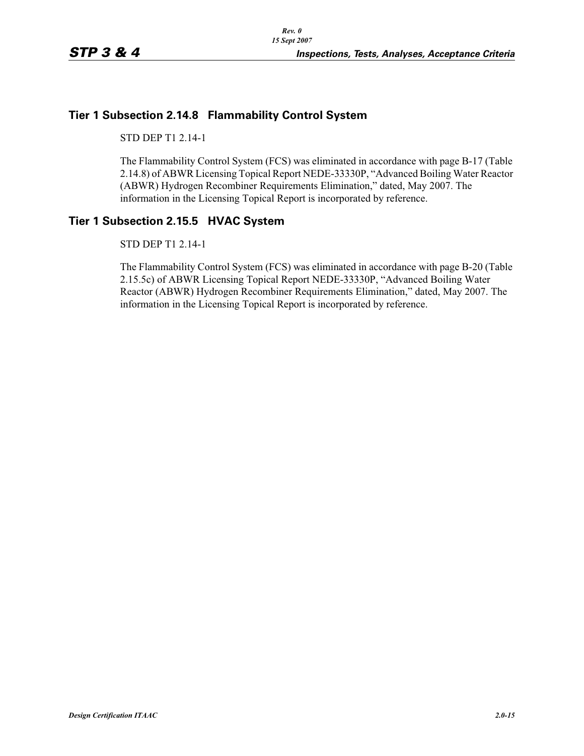## **Tier 1 Subsection 2.14.8 Flammability Control System**

STD DEP T1 2.14-1

The Flammability Control System (FCS) was eliminated in accordance with page B-17 (Table 2.14.8) of ABWR Licensing Topical Report NEDE-33330P, "Advanced Boiling Water Reactor (ABWR) Hydrogen Recombiner Requirements Elimination," dated, May 2007. The information in the Licensing Topical Report is incorporated by reference.

### **Tier 1 Subsection 2.15.5 HVAC System**

STD DEP T1 2.14-1

The Flammability Control System (FCS) was eliminated in accordance with page B-20 (Table 2.15.5c) of ABWR Licensing Topical Report NEDE-33330P, "Advanced Boiling Water Reactor (ABWR) Hydrogen Recombiner Requirements Elimination," dated, May 2007. The information in the Licensing Topical Report is incorporated by reference.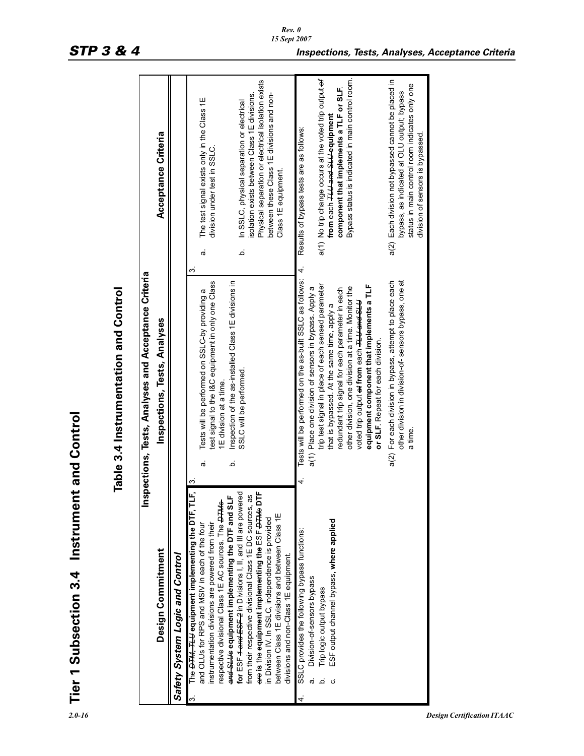|                     | lnsp                                                                                                                                                                                                                                                                                                                                                 |                    | ections, Tests, Analyses and Acceptance Criteria<br>Table 3.4 Instrumentation and Control                                                                                                                                                                                                                                                                          |                     |                                                                                                                                                                                                                      |
|---------------------|------------------------------------------------------------------------------------------------------------------------------------------------------------------------------------------------------------------------------------------------------------------------------------------------------------------------------------------------------|--------------------|--------------------------------------------------------------------------------------------------------------------------------------------------------------------------------------------------------------------------------------------------------------------------------------------------------------------------------------------------------------------|---------------------|----------------------------------------------------------------------------------------------------------------------------------------------------------------------------------------------------------------------|
|                     | Design Commitment                                                                                                                                                                                                                                                                                                                                    |                    | Inspections, Tests, Analyses                                                                                                                                                                                                                                                                                                                                       |                     | Acceptance Criteria                                                                                                                                                                                                  |
|                     | <b>Safety System Logic and Control</b>                                                                                                                                                                                                                                                                                                               |                    |                                                                                                                                                                                                                                                                                                                                                                    |                     |                                                                                                                                                                                                                      |
| $\dot{\mathcal{E}}$ | The <del>DTM, TLU</del> equipment implementing the DTF, TLF,<br>and SLUs equipment implementing the DTF and SLF<br>respective divisional Class 1E AC sources. The <b>DTMs</b><br>instrumentation divisions are powered from their<br>and OLUs for RPS and MSIV in each of the four                                                                   | م<br>ω<br>$\omega$ | test signal to the I&C equipment in only one Class<br>nspection of the as-installed Class 1E divisions in<br>Tests will be performed on SSLC-by providing a<br>E division at a time.                                                                                                                                                                               | $\vec{\sigma}$<br>က | The test signal exists only in the Class 1E<br>division under test in SSLC.                                                                                                                                          |
|                     | for ESF <del>4 and ESF 2</del> in Divisions I, II, and III are powered<br>are is the equipment implementing the ESF <del>DTMs</del> DTF<br>from their respective divisional Class 1E DC sources, as<br>between Class 1E divisions and between Class 1E<br>in Division IV. In SSLC, independence is provided<br>divisions and non-Class 1E equipment. |                    | SSLC will be performed.                                                                                                                                                                                                                                                                                                                                            | م                   | Physical separation or electrical isolation exists<br>isolation exists between Class 1E divisions.<br>between these Class 1E divisions and non-<br>In SSLC, physical separation or electrical<br>Class 1E equipment. |
| 4                   | SSLC provides the following bypass functions:<br>Division-of-sensors bypass<br>œ                                                                                                                                                                                                                                                                     | 4.                 | Tests will be performed on the as-built SSLC as follows:<br>a(1) Place one division of sensors in bypass. Apply a                                                                                                                                                                                                                                                  | 4                   | Results of bypass tests are as follows:                                                                                                                                                                              |
|                     | ESF output channel bypass, where applied<br>Trip logic output bypass<br>.<br>ف<br>ن                                                                                                                                                                                                                                                                  |                    | trip test signal in place of each sensed parameter<br>equipment component that implements a TLF<br>other division, one division at a time. Monitor the<br>redundant trip signal for each parameter in each<br>voted trip output <del>at</del> from each <del>TLU and SLU</del><br>that is bypassed. At the same time, apply a<br>or SLF. Repeat for each division. |                     | Bypass status is indicated in main control room.<br>a(1) No trip change occurs at the voted trip output of<br>component that implements a TLF or SLF.<br>from each <del>TLU and SLU e</del> quipment                 |
|                     |                                                                                                                                                                                                                                                                                                                                                      | a(2)               | other division in division-of-sensors bypass, one at<br>For each division in bypass, attempt to place each<br>a time.                                                                                                                                                                                                                                              |                     | a(2) Each division not bypassed cannot be placed in<br>status in main control room indicates only one<br>bypass, as indicated at OLU output; bypass<br>division of sensors is bypassed.                              |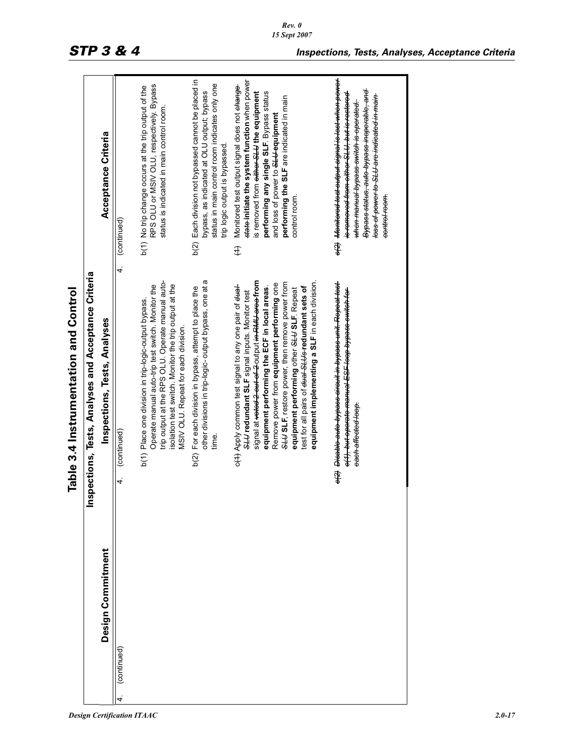|                   | ections, Tests, Analyses and Acceptance Criteria<br>Table 3.4 Instrumentation and Control<br>lnsp                                                                                                                                                                                                                                                                                                                                                                                          |                                                                                                                                                                                                                                                                                                                   |
|-------------------|--------------------------------------------------------------------------------------------------------------------------------------------------------------------------------------------------------------------------------------------------------------------------------------------------------------------------------------------------------------------------------------------------------------------------------------------------------------------------------------------|-------------------------------------------------------------------------------------------------------------------------------------------------------------------------------------------------------------------------------------------------------------------------------------------------------------------|
| Design Commitment | Inspections, Tests, Analyses                                                                                                                                                                                                                                                                                                                                                                                                                                                               | Acceptance Criteria                                                                                                                                                                                                                                                                                               |
| (continued)       | 4.<br>(continued)<br>4.                                                                                                                                                                                                                                                                                                                                                                                                                                                                    | (continued)                                                                                                                                                                                                                                                                                                       |
|                   | trip output at the RPS OLU. Operate manual auto-<br>isolation test switch. Monitor the trip output at the<br>Operate manual auto-trip test switch. Monitor the<br>b(1) Place one division in trip-logic-output bypass.<br>MSIV OLU. Repeat for each division                                                                                                                                                                                                                               | RPS OLU or MSIV OLU, respectively. Bypass<br>b(1) No trip change occurs at the trip output of the<br>status is indicated in main control room.                                                                                                                                                                    |
|                   | other divisions in trip-logic- output bypass, one at a<br>b(2) For each division in bypass, attempt to place the                                                                                                                                                                                                                                                                                                                                                                           | b(2) Each division not bypassed cannot be placed in<br>status in main control room indicates only one<br>bypass, as indicated at OLU output; bypass<br>trip logic output is bypassed.                                                                                                                             |
|                   | signal at <del>voted 2 out of 2</del> output <del>in RMU area f</del> rom<br>equipment implementing a SLF in each division.<br>SLUS IF, restore power, then remove power from<br>Remove power from equipment performing one<br>c(4) Apply common test signal to any one pair of eter-<br>equipment performing the ECF in local areas.<br>test for all pairs of eleral SLUs redundant sets of<br>equipment performing other SLU SLF Repeat<br>SLU redundant SLF signal inputs. Monitor test | state-initiate the system function when power<br>Monitored test output signal does not change<br>is removed from either SLU the equipment<br>performing any single SLF. Bypass status<br>performing the SLF are indicated in main<br>and loss of power to SLU-equipment<br>control room.<br>£                     |
|                   | <del>o(2)</del> <del>Disablo auto bypass circuit in bypass unit. Repeat test</del><br><del>o(1), but operate manual ESF loop bypass switch for-</del><br>each affected loop.                                                                                                                                                                                                                                                                                                               | <del>o(2) Monitored test output signal is lost when power</del><br><del>Bypass status, auto bypass inoporable, and</del><br><del>is removed from either SLU, but is restored</del><br>loss of power to SLU are indicated in main<br><del>when manual bypass switch is operated.</del><br><del>control room.</del> |